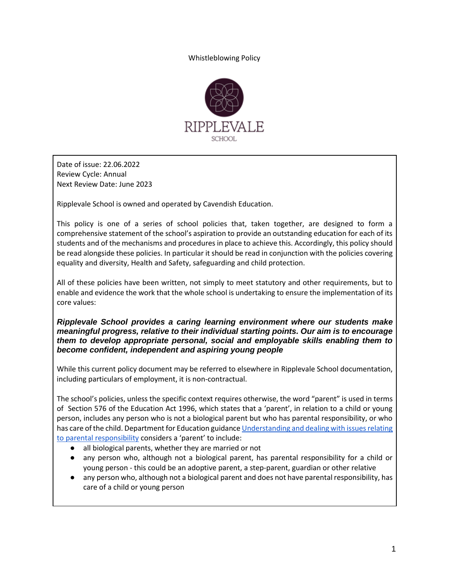Whistleblowing Policy



Date of issue: 22.06.2022 Review Cycle: Annual Next Review Date: June 2023

Ripplevale School is owned and operated by Cavendish Education.

This policy is one of a series of school policies that, taken together, are designed to form a comprehensive statement of the school's aspiration to provide an outstanding education for each of its students and of the mechanisms and procedures in place to achieve this. Accordingly, this policy should be read alongside these policies. In particular it should be read in conjunction with the policies covering equality and diversity, Health and Safety, safeguarding and child protection.

All of these policies have been written, not simply to meet statutory and other requirements, but to enable and evidence the work that the whole school is undertaking to ensure the implementation of its core values:

*Ripplevale School provides a caring learning environment where our students make meaningful progress, relative to their individual starting points. Our aim is to encourage them to develop appropriate personal, social and employable skills enabling them to become confident, independent and aspiring young people*

While this current policy document may be referred to elsewhere in Ripplevale School documentation, including particulars of employment, it is non-contractual.

The school's policies, unless the specific context requires otherwise, the word "parent" is used in terms of Section 576 of the Education Act 1996, which states that a 'parent', in relation to a child or young person, includes any person who is not a biological parent but who has parental responsibility, or who has care of the child. Department for Education guidanc[e Understanding and dealing with issues relating](https://www.gov.uk/government/publications/dealing-with-issues-relating-to-parental-responsibility/understanding-and-dealing-with-issues-relating-to-parental-responsibility) [to parental responsibility](https://www.gov.uk/government/publications/dealing-with-issues-relating-to-parental-responsibility/understanding-and-dealing-with-issues-relating-to-parental-responsibility) considers a 'parent' to include:

- all biological parents, whether they are married or not
- any person who, although not a biological parent, has parental responsibility for a child or young person - this could be an adoptive parent, a step-parent, guardian or other relative
- any person who, although not a biological parent and does not have parental responsibility, has care of a child or young person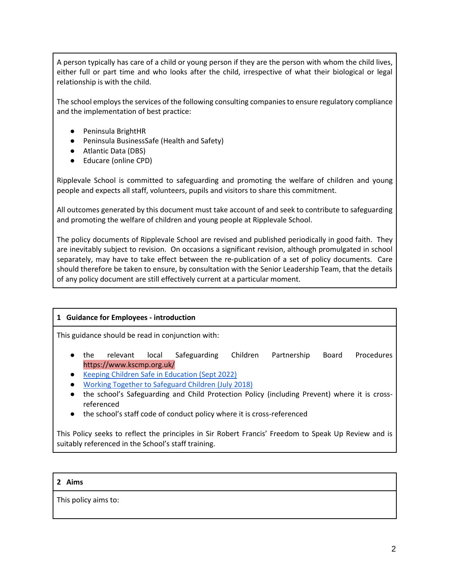A person typically has care of a child or young person if they are the person with whom the child lives, either full or part time and who looks after the child, irrespective of what their biological or legal relationship is with the child.

The school employs the services of the following consulting companies to ensure regulatory compliance and the implementation of best practice:

- Peninsula BrightHR
- Peninsula BusinessSafe (Health and Safety)
- Atlantic Data (DBS)
- Educare (online CPD)

Ripplevale School is committed to safeguarding and promoting the welfare of children and young people and expects all staff, volunteers, pupils and visitors to share this commitment.

All outcomes generated by this document must take account of and seek to contribute to safeguarding and promoting the welfare of children and young people at Ripplevale School.

The policy documents of Ripplevale School are revised and published periodically in good faith. They are inevitably subject to revision. On occasions a significant revision, although promulgated in school separately, may have to take effect between the re-publication of a set of policy documents. Care should therefore be taken to ensure, by consultation with the Senior Leadership Team, that the details of any policy document are still effectively current at a particular moment.

## **1 Guidance for Employees - introduction**

This guidance should be read in conjunction with:

- the relevant local Safeguarding Children Partnership Board Procedures https://www.kscmp.org.uk/
- [Keeping Children Safe in Education \(Sept 2022\)](https://assets.publishing.service.gov.uk/government/uploads/system/uploads/attachment_data/file/1080047/KCSIE_2022_revised.pdf)
- [Working Together to Safeguard Children \(July 2018\)](https://assets.publishing.service.gov.uk/government/uploads/system/uploads/attachment_data/file/779401/Working_Together_to_Safeguard-Children.pdf)
- the school's Safeguarding and Child Protection Policy (including Prevent) where it is crossreferenced
- the school's staff code of conduct policy where it is cross-referenced

This Policy seeks to reflect the principles in Sir Robert Francis' Freedom to Speak Up Review and is suitably referenced in the School's staff training.

#### **2 Aims**

This policy aims to: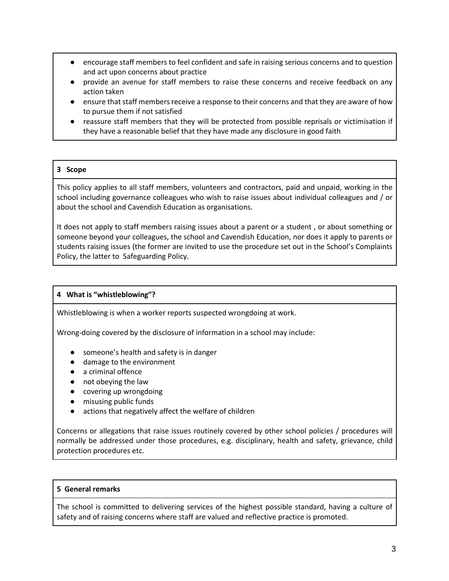- encourage staff members to feel confident and safe in raising serious concerns and to question and act upon concerns about practice
- provide an avenue for staff members to raise these concerns and receive feedback on any action taken
- ensure that staff members receive a response to their concerns and that they are aware of how to pursue them if not satisfied
- reassure staff members that they will be protected from possible reprisals or victimisation if they have a reasonable belief that they have made any disclosure in good faith

## **3 Scope**

This policy applies to all staff members, volunteers and contractors, paid and unpaid, working in the school including governance colleagues who wish to raise issues about individual colleagues and / or about the school and Cavendish Education as organisations.

It does not apply to staff members raising issues about a parent or a student , or about something or someone beyond your colleagues, the school and Cavendish Education, nor does it apply to parents or students raising issues (the former are invited to use the procedure set out in the School's Complaints Policy, the latter to Safeguarding Policy.

#### **4 What is "whistleblowing"?**

Whistleblowing is when a worker reports suspected wrongdoing at work.

Wrong-doing covered by the disclosure of information in a school may include:

- someone's health and safety is in danger
- damage to the environment
- a criminal offence
- not obeying the law
- covering up wrongdoing
- misusing public funds
- actions that negatively affect the welfare of children

Concerns or allegations that raise issues routinely covered by other school policies / procedures will normally be addressed under those procedures, e.g. disciplinary, health and safety, grievance, child protection procedures etc.

#### **5 General remarks**

The school is committed to delivering services of the highest possible standard, having a culture of safety and of raising concerns where staff are valued and reflective practice is promoted.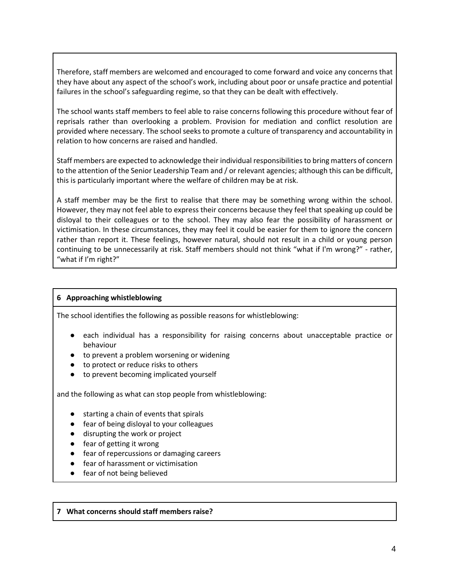Therefore, staff members are welcomed and encouraged to come forward and voice any concerns that they have about any aspect of the school's work, including about poor or unsafe practice and potential failures in the school's safeguarding regime, so that they can be dealt with effectively.

The school wants staff members to feel able to raise concerns following this procedure without fear of reprisals rather than overlooking a problem. Provision for mediation and conflict resolution are provided where necessary. The school seeks to promote a culture of transparency and accountability in relation to how concerns are raised and handled.

Staff members are expected to acknowledge their individual responsibilities to bring matters of concern to the attention of the Senior Leadership Team and / or relevant agencies; although this can be difficult, this is particularly important where the welfare of children may be at risk.

A staff member may be the first to realise that there may be something wrong within the school. However, they may not feel able to express their concerns because they feel that speaking up could be disloyal to their colleagues or to the school. They may also fear the possibility of harassment or victimisation. In these circumstances, they may feel it could be easier for them to ignore the concern rather than report it. These feelings, however natural, should not result in a child or young person continuing to be unnecessarily at risk. Staff members should not think "what if I'm wrong?" - rather, "what if I'm right?"

#### **6 Approaching whistleblowing**

The school identifies the following as possible reasons for whistleblowing:

- each individual has a responsibility for raising concerns about unacceptable practice or behaviour
- to prevent a problem worsening or widening
- to protect or reduce risks to others
- to prevent becoming implicated yourself

and the following as what can stop people from whistleblowing:

- starting a chain of events that spirals
- fear of being disloyal to your colleagues
- disrupting the work or project
- fear of getting it wrong
- fear of repercussions or damaging careers
- fear of harassment or victimisation
- fear of not being believed

#### **7 What concerns should staff members raise?**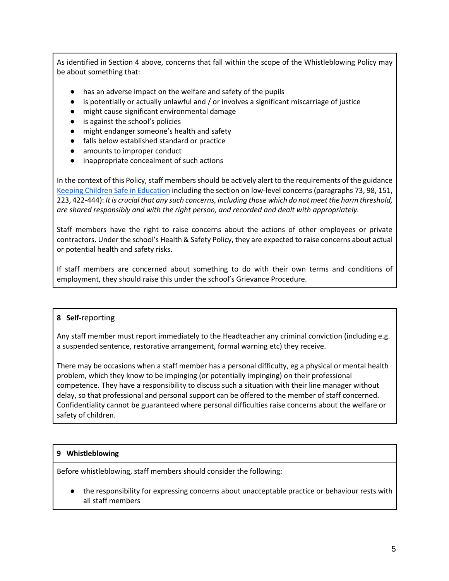As identified in Section 4 above, concerns that fall within the scope of the Whistleblowing Policy may be about something that:

- has an adverse impact on the welfare and safety of the pupils
- is potentially or actually unlawful and / or involves a significant miscarriage of justice
- might cause significant environmental damage
- is against the school's policies
- might endanger someone's health and safety
- falls below established standard or practice
- amounts to improper conduct
- inappropriate concealment of such actions

In the context of this Policy, staff members should be actively alert to the requirements of the guidance [Keeping Children Safe in Education](https://assets.publishing.service.gov.uk/government/uploads/system/uploads/attachment_data/file/1080047/KCSIE_2022_revised.pdf) including the section on low-level concerns (paragraphs 73, 98, 151, 223, 422-444): *It is crucial that any such concerns, including those which do not meet the harm threshold, are shared responsibly and with the right person, and recorded and dealt with appropriately.*

Staff members have the right to raise concerns about the actions of other employees or private contractors. Under the school's Health & Safety Policy, they are expected to raise concerns about actual or potential health and safety risks.

If staff members are concerned about something to do with their own terms and conditions of employment, they should raise this under the school's Grievance Procedure.

## **8 Self‐**reporting

Any staff member must report immediately to the Headteacher any criminal conviction (including e.g. a suspended sentence, restorative arrangement, formal warning etc) they receive.

There may be occasions when a staff member has a personal difficulty, eg a physical or mental health problem, which they know to be impinging (or potentially impinging) on their professional competence. They have a responsibility to discuss such a situation with their line manager without delay, so that professional and personal support can be offered to the member of staff concerned. Confidentiality cannot be guaranteed where personal difficulties raise concerns about the welfare or safety of children.

## **9 Whistleblowing**

Before whistleblowing, staff members should consider the following:

● the responsibility for expressing concerns about unacceptable practice or behaviour rests with all staff members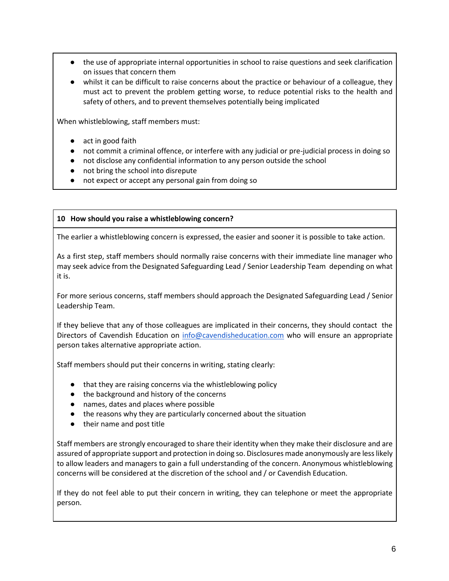- the use of appropriate internal opportunities in school to raise questions and seek clarification on issues that concern them
- whilst it can be difficult to raise concerns about the practice or behaviour of a colleague, they must act to prevent the problem getting worse, to reduce potential risks to the health and safety of others, and to prevent themselves potentially being implicated

When whistleblowing, staff members must:

- act in good faith
- not commit a criminal offence, or interfere with any judicial or pre-judicial process in doing so
- not disclose any confidential information to any person outside the school
- not bring the school into disrepute
- not expect or accept any personal gain from doing so

### **10 How should you raise a whistleblowing concern?**

The earlier a whistleblowing concern is expressed, the easier and sooner it is possible to take action.

As a first step, staff members should normally raise concerns with their immediate line manager who may seek advice from the Designated Safeguarding Lead / Senior Leadership Team depending on what it is.

For more serious concerns, staff members should approach the Designated Safeguarding Lead / Senior Leadership Team.

If they believe that any of those colleagues are implicated in their concerns, they should contact the Directors of Cavendish Education on [info@cavendisheducation.com](mailto:info@cavendisheducation.com) who will ensure an appropriate person takes alternative appropriate action.

Staff members should put their concerns in writing, stating clearly:

- that they are raising concerns via the whistleblowing policy
- the background and history of the concerns
- names, dates and places where possible
- the reasons why they are particularly concerned about the situation
- their name and post title

Staff members are strongly encouraged to share their identity when they make their disclosure and are assured of appropriate support and protection in doing so. Disclosures made anonymously are less likely to allow leaders and managers to gain a full understanding of the concern. Anonymous whistleblowing concerns will be considered at the discretion of the school and / or Cavendish Education.

If they do not feel able to put their concern in writing, they can telephone or meet the appropriate person.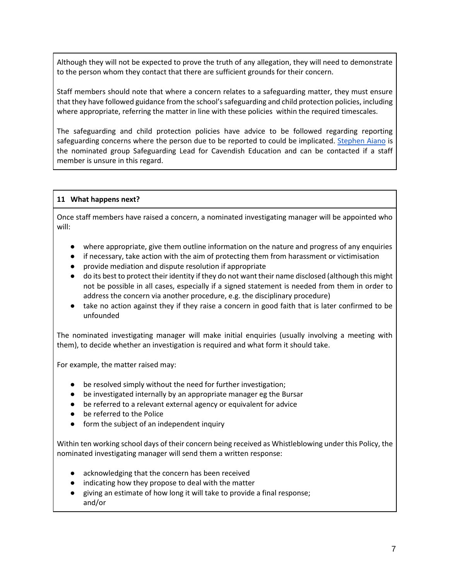Although they will not be expected to prove the truth of any allegation, they will need to demonstrate to the person whom they contact that there are sufficient grounds for their concern.

Staff members should note that where a concern relates to a safeguarding matter, they must ensure that they have followed guidance from the school's safeguarding and child protection policies, including where appropriate, referring the matter in line with these policies within the required timescales.

The safeguarding and child protection policies have advice to be followed regarding reporting safeguarding concerns where the person due to be reported to could be implicated. [Stephen Aiano](mailto:s.aiano@cavendisheducation.com) is the nominated group Safeguarding Lead for Cavendish Education and can be contacted if a staff member is unsure in this regard.

### **11 What happens next?**

Once staff members have raised a concern, a nominated investigating manager will be appointed who will:

- where appropriate, give them outline information on the nature and progress of any enquiries
- if necessary, take action with the aim of protecting them from harassment or victimisation
- provide mediation and dispute resolution if appropriate
- do its best to protect their identity if they do not want their name disclosed (although this might not be possible in all cases, especially if a signed statement is needed from them in order to address the concern via another procedure, e.g. the disciplinary procedure)
- take no action against they if they raise a concern in good faith that is later confirmed to be unfounded

The nominated investigating manager will make initial enquiries (usually involving a meeting with them), to decide whether an investigation is required and what form it should take.

For example, the matter raised may:

- be resolved simply without the need for further investigation;
- be investigated internally by an appropriate manager eg the Bursar
- be referred to a relevant external agency or equivalent for advice
- be referred to the Police
- form the subject of an independent inquiry

Within ten working school days of their concern being received as Whistleblowing under this Policy, the nominated investigating manager will send them a written response:

- acknowledging that the concern has been received
- indicating how they propose to deal with the matter
- giving an estimate of how long it will take to provide a final response; and/or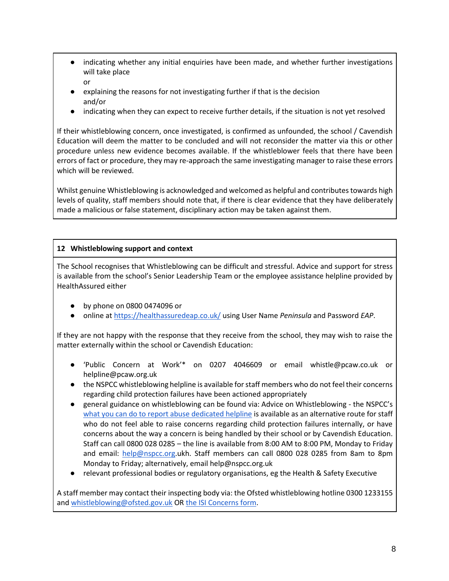- indicating whether any initial enquiries have been made, and whether further investigations will take place
	- or
- explaining the reasons for not investigating further if that is the decision and/or
- indicating when they can expect to receive further details, if the situation is not yet resolved

If their whistleblowing concern, once investigated, is confirmed as unfounded, the school / Cavendish Education will deem the matter to be concluded and will not reconsider the matter via this or other procedure unless new evidence becomes available. If the whistleblower feels that there have been errors of fact or procedure, they may re-approach the same investigating manager to raise these errors which will be reviewed.

Whilst genuine Whistleblowing is acknowledged and welcomed as helpful and contributes towards high levels of quality, staff members should note that, if there is clear evidence that they have deliberately made a malicious or false statement, disciplinary action may be taken against them.

# **12 Whistleblowing support and context**

The School recognises that Whistleblowing can be difficult and stressful. Advice and support for stress is available from the school's Senior Leadership Team or the employee assistance helpline provided by HealthAssured either

- by phone on 0800 0474096 or
- online a[t https://healthassuredeap.co.uk/](https://healthassuredeap.co.uk/) using User Name *Peninsula* and Password *EAP*.

If they are not happy with the response that they receive from the school, they may wish to raise the matter externally within the school or Cavendish Education:

- 'Public Concern at Work'\* on 0207 4046609 or email whistle@pcaw.co.uk or helpline@pcaw.org.uk
- the NSPCC whistleblowing helpline is available for staff members who do not feel their concerns regarding child protection failures have been actioned appropriately
- general guidance on whistleblowing can be found via: Advice on Whistleblowing the NSPCC's [what you can do to report abuse dedicated helpline](https://www.nspcc.org.uk/keeping-children-safe/reporting-abuse/dedicated-helplines/whistleblowing-advice-line/) is available as an alternative route for staff who do not feel able to raise concerns regarding child protection failures internally, or have concerns about the way a concern is being handled by their school or by Cavendish Education. Staff can call 0800 028 0285 – the line is available from 8:00 AM to 8:00 PM, Monday to Friday and email: [help@nspcc.org.](mailto:help@nspcc.org)ukh. Staff members can call 0800 028 0285 from 8am to 8pm Monday to Friday; alternatively, email help@nspcc.org.uk
- relevant professional bodies or regulatory organisations, eg the Health & Safety Executive

A staff member may contact their inspecting body via: the Ofsted whistleblowing hotline 0300 1233155 and [whistleblowing@ofsted.gov.uk](mailto:whistleblowing@ofsted.gov.uk) OR [the ISI Concerns form.](https://www.isi.net/concerns/)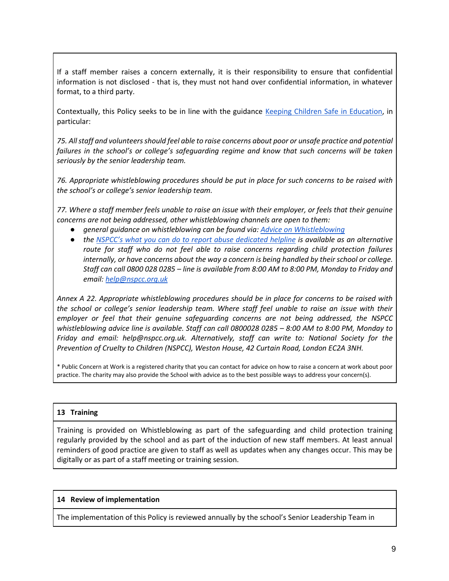If a staff member raises a concern externally, it is their responsibility to ensure that confidential information is not disclosed - that is, they must not hand over confidential information, in whatever format, to a third party.

Contextually, this Policy seeks to be in line with the guidance [Keeping Children Safe in Education,](https://assets.publishing.service.gov.uk/government/uploads/system/uploads/attachment_data/file/1021914/KCSIE_2021_September_guidance.pdf) in particular:

*75. All staff and volunteers should feel able to raise concerns about poor or unsafe practice and potential*  failures in the school's or college's safeguarding regime and know that such concerns will be taken *seriously by the senior leadership team.* 

*76. Appropriate whistleblowing procedures should be put in place for such concerns to be raised with the school's or college's senior leadership team.* 

*77. Where a staff member feels unable to raise an issue with their employer, or feels that their genuine concerns are not being addressed, other whistleblowing channels are open to them:*

- *general guidance on whistleblowing can be found via[: Advice on Whistleblowing](https://www.gov.uk/whistleblowing)*
- *the [NSPCC's what you can do to report abuse dedicated helpline](https://www.nspcc.org.uk/keeping-children-safe/reporting-abuse/dedicated-helplines/whistleblowing-advice-line/) is available as an alternative route for staff who do not feel able to raise concerns regarding child protection failures internally, or have concerns about the way a concern is being handled by their school or college. Staff can call 0800 028 0285 – line is available from 8:00 AM to 8:00 PM, Monday to Friday and email[: help@nspcc.org.uk](mailto:help@nspcc.org.uk)*

*Annex A 22. Appropriate whistleblowing procedures should be in place for concerns to be raised with the school or college's senior leadership team. Where staff feel unable to raise an issue with their employer or feel that their genuine safeguarding concerns are not being addressed, the NSPCC whistleblowing advice line is available. Staff can call 0800028 0285 - 8:00 AM to 8:00 PM, Monday to Friday and email: help@nspcc.org.uk. Alternatively, staff can write to: National Society for the Prevention of Cruelty to Children (NSPCC), Weston House, 42 Curtain Road, London EC2A 3NH.*

\* Public Concern at Work is a registered charity that you can contact for advice on how to raise a concern at work about poor practice. The charity may also provide the School with advice as to the best possible ways to address your concern(s).

## **13 Training**

Training is provided on Whistleblowing as part of the safeguarding and child protection training regularly provided by the school and as part of the induction of new staff members. At least annual reminders of good practice are given to staff as well as updates when any changes occur. This may be digitally or as part of a staff meeting or training session.

#### **14 Review of implementation**

The implementation of this Policy is reviewed annually by the school's Senior Leadership Team in